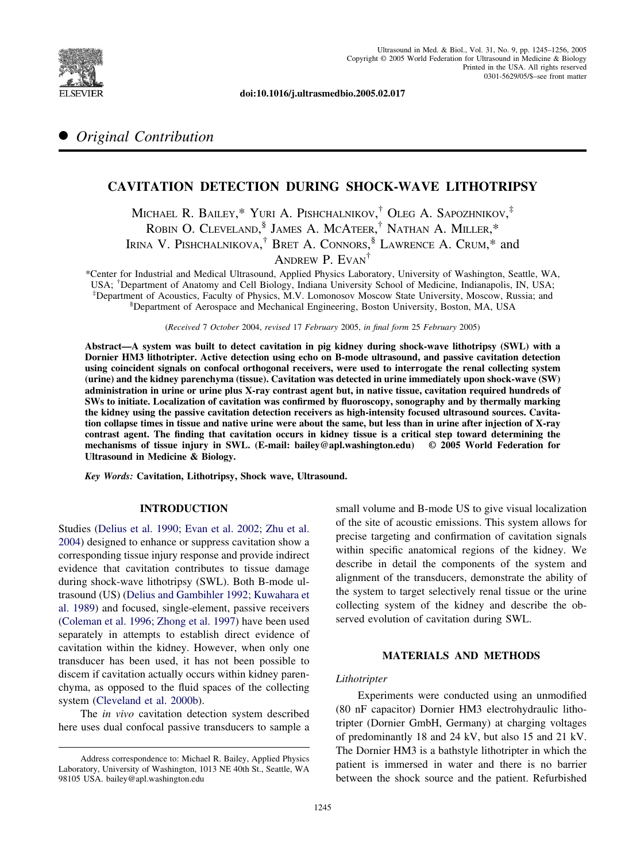

**doi:10.1016/j.ultrasmedbio.2005.02.017**

# ● *Original Contribution*

## **CAVITATION DETECTION DURING SHOCK-WAVE LITHOTRIPSY**

MICHAEL R. BAILEY,\* YURI A. PISHCHALNIKOV, † OLEG A. SAPOZHNIKOV, ‡ ROBIN O. CLEVELAND, § JAMES A. MCATEER, † NATHAN A. MILLER,\* Irina V. Pishchalnikova,<sup>†</sup> Bret A. Connors,<sup>§</sup> Lawrence A. Crum,\* and ANDREW P. EVAN†

\*Center for Industrial and Medical Ultrasound, Applied Physics Laboratory, University of Washington, Seattle, WA, USA; † Department of Anatomy and Cell Biology, Indiana University School of Medicine, Indianapolis, IN, USA; ‡ Department of Acoustics, Faculty of Physics, M.V. Lomonosov Moscow State University, Moscow, Russia; and § Department of Aerospace and Mechanical Engineering, Boston University, Boston, MA, USA

(*Received* 7 *October* 2004, *revised* 17 *February* 2005, *in final form* 25 *February* 2005)

**Abstract—A system was built to detect cavitation in pig kidney during shock-wave lithotripsy (SWL) with a Dornier HM3 lithotripter. Active detection using echo on B-mode ultrasound, and passive cavitation detection using coincident signals on confocal orthogonal receivers, were used to interrogate the renal collecting system (urine) and the kidney parenchyma (tissue). Cavitation was detected in urine immediately upon shock-wave (SW) administration in urine or urine plus X-ray contrast agent but, in native tissue, cavitation required hundreds of SWs to initiate. Localization of cavitation was confirmed by fluoroscopy, sonography and by thermally marking the kidney using the passive cavitation detection receivers as high-intensity focused ultrasound sources. Cavitation collapse times in tissue and native urine were about the same, but less than in urine after injection of X-ray contrast agent. The finding that cavitation occurs in kidney tissue is a critical step toward determining the mechanisms of tissue injury in SWL. (E-mail: bailey@apl.washington.edu) © 2005 World Federation for Ultrasound in Medicine & Biology.**

*Key Words:* **Cavitation, Lithotripsy, Shock wave, Ultrasound.**

## **INTRODUCTION**

Studies [\(Delius et al. 1990; Evan et al. 2002; Zhu et al.](#page-11-0) [2004\)](#page-11-0) designed to enhance or suppress cavitation show a corresponding tissue injury response and provide indirect evidence that cavitation contributes to tissue damage during shock-wave lithotripsy (SWL). Both B-mode ultrasound (US) [\(Delius and Gambihler 1992; Kuwahara et](#page-11-0) [al. 1989\)](#page-11-0) and focused, single-element, passive receivers [\(Coleman et al. 1996; Zhong et al. 1997\)](#page-11-0) have been used separately in attempts to establish direct evidence of cavitation within the kidney. However, when only one transducer has been used, it has not been possible to discem if cavitation actually occurs within kidney parenchyma, as opposed to the fluid spaces of the collecting system [\(Cleveland et al. 2000b\)](#page-11-0).

The *in vivo* cavitation detection system described here uses dual confocal passive transducers to sample a small volume and B-mode US to give visual localization of the site of acoustic emissions. This system allows for precise targeting and confirmation of cavitation signals within specific anatomical regions of the kidney. We describe in detail the components of the system and alignment of the transducers, demonstrate the ability of the system to target selectively renal tissue or the urine collecting system of the kidney and describe the observed evolution of cavitation during SWL.

## **MATERIALS AND METHODS**

## *Lithotripter*

Experiments were conducted using an unmodified (80 nF capacitor) Dornier HM3 electrohydraulic lithotripter (Dornier GmbH, Germany) at charging voltages of predominantly 18 and 24 kV, but also 15 and 21 kV. The Dornier HM3 is a bathstyle lithotripter in which the patient is immersed in water and there is no barrier between the shock source and the patient. Refurbished

Address correspondence to: Michael R. Bailey, Applied Physics Laboratory, University of Washington, 1013 NE 40th St., Seattle, WA 98105 USA. bailey@apl.washington.edu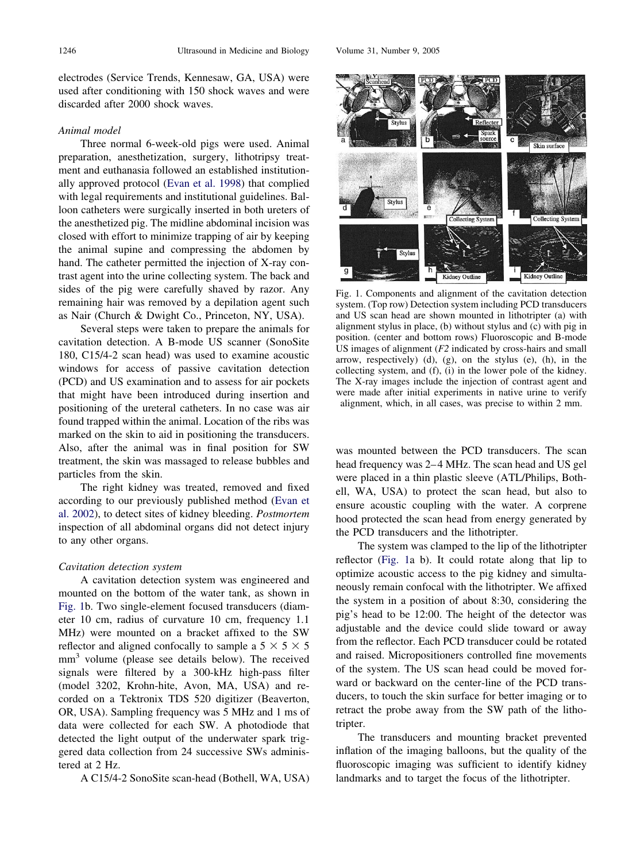<span id="page-1-0"></span>electrodes (Service Trends, Kennesaw, GA, USA) were used after conditioning with 150 shock waves and were discarded after 2000 shock waves.

### *Animal model*

Three normal 6-week-old pigs were used. Animal preparation, anesthetization, surgery, lithotripsy treatment and euthanasia followed an established institutionally approved protocol [\(Evan et al. 1998\)](#page-11-0) that complied with legal requirements and institutional guidelines. Balloon catheters were surgically inserted in both ureters of the anesthetized pig. The midline abdominal incision was closed with effort to minimize trapping of air by keeping the animal supine and compressing the abdomen by hand. The catheter permitted the injection of X-ray contrast agent into the urine collecting system. The back and sides of the pig were carefully shaved by razor. Any remaining hair was removed by a depilation agent such as Nair (Church & Dwight Co., Princeton, NY, USA).

Several steps were taken to prepare the animals for cavitation detection. A B-mode US scanner (SonoSite 180, C15/4-2 scan head) was used to examine acoustic windows for access of passive cavitation detection (PCD) and US examination and to assess for air pockets that might have been introduced during insertion and positioning of the ureteral catheters. In no case was air found trapped within the animal. Location of the ribs was marked on the skin to aid in positioning the transducers. Also, after the animal was in final position for SW treatment, the skin was massaged to release bubbles and particles from the skin.

The right kidney was treated, removed and fixed according to our previously published method [\(Evan et](#page-11-0) [al. 2002\)](#page-11-0), to detect sites of kidney bleeding. *Postmortem* inspection of all abdominal organs did not detect injury to any other organs.

#### *Cavitation detection system*

A cavitation detection system was engineered and mounted on the bottom of the water tank, as shown in Fig. 1b. Two single-element focused transducers (diameter 10 cm, radius of curvature 10 cm, frequency 1.1 MHz) were mounted on a bracket affixed to the SW reflector and aligned confocally to sample a  $5 \times 5 \times 5$ mm<sup>3</sup> volume (please see details below). The received signals were filtered by a 300-kHz high-pass filter (model 3202, Krohn-hite, Avon, MA, USA) and recorded on a Tektronix TDS 520 digitizer (Beaverton, OR, USA). Sampling frequency was 5 MHz and 1 ms of data were collected for each SW. A photodiode that detected the light output of the underwater spark triggered data collection from 24 successive SWs administered at 2 Hz.

A C15/4-2 SonoSite scan-head (Bothell, WA, USA)



Fig. 1. Components and alignment of the cavitation detection system. (Top row) Detection system including PCD transducers and US scan head are shown mounted in lithotripter (a) with alignment stylus in place, (b) without stylus and (c) with pig in position. (center and bottom rows) Fluoroscopic and B-mode US images of alignment (*F2* indicated by cross-hairs and small arrow, respectively) (d), (g), on the stylus (e), (h), in the collecting system, and (f), (i) in the lower pole of the kidney. The X-ray images include the injection of contrast agent and were made after initial experiments in native urine to verify alignment, which, in all cases, was precise to within 2 mm.

was mounted between the PCD transducers. The scan head frequency was 2–4 MHz. The scan head and US gel were placed in a thin plastic sleeve (ATL/Philips, Bothell, WA, USA) to protect the scan head, but also to ensure acoustic coupling with the water. A corprene hood protected the scan head from energy generated by the PCD transducers and the lithotripter.

The system was clamped to the lip of the lithotripter reflector [\(Fig. 1a](#page-11-0) b). It could rotate along that lip to optimize acoustic access to the pig kidney and simultaneously remain confocal with the lithotripter. We affixed the system in a position of about 8:30, considering the pig's head to be 12:00. The height of the detector was adjustable and the device could slide toward or away from the reflector. Each PCD transducer could be rotated and raised. Micropositioners controlled fine movements of the system. The US scan head could be moved forward or backward on the center-line of the PCD transducers, to touch the skin surface for better imaging or to retract the probe away from the SW path of the lithotripter.

The transducers and mounting bracket prevented inflation of the imaging balloons, but the quality of the fluoroscopic imaging was sufficient to identify kidney landmarks and to target the focus of the lithotripter.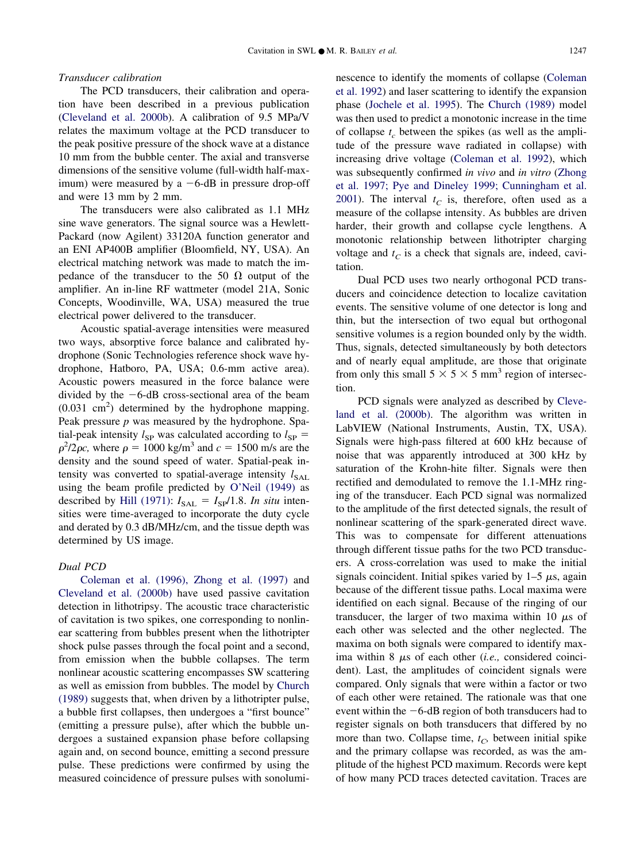## *Transducer calibration*

The PCD transducers, their calibration and operation have been described in a previous publication [\(Cleveland et al. 2000b\)](#page-11-0). A calibration of 9.5 MPa/V relates the maximum voltage at the PCD transducer to the peak positive pressure of the shock wave at a distance 10 mm from the bubble center. The axial and transverse dimensions of the sensitive volume (full-width half-maximum) were measured by a  $-6$ -dB in pressure drop-off and were 13 mm by 2 mm.

The transducers were also calibrated as 1.1 MHz sine wave generators. The signal source was a Hewlett-Packard (now Agilent) 33120A function generator and an ENI AP400B amplifier (Bloomfield, NY, USA). An electrical matching network was made to match the impedance of the transducer to the 50  $\Omega$  output of the amplifier. An in-line RF wattmeter (model 21A, Sonic Concepts, Woodinville, WA, USA) measured the true electrical power delivered to the transducer.

Acoustic spatial-average intensities were measured two ways, absorptive force balance and calibrated hydrophone (Sonic Technologies reference shock wave hydrophone, Hatboro, PA, USA; 0.6-mm active area). Acoustic powers measured in the force balance were divided by the  $-6$ -dB cross-sectional area of the beam  $(0.031 \text{ cm}^2)$  determined by the hydrophone mapping. Peak pressure *p* was measured by the hydrophone. Spatial-peak intensity  $l_{SP}$  was calculated according to  $l_{SP}$  =  $\rho^2/2\rho c$ , where  $\rho = 1000 \text{ kg/m}^3$  and  $c = 1500 \text{ m/s}$  are the density and the sound speed of water. Spatial-peak intensity was converted to spatial-average intensity  $l_{SAL}$ using the beam profile predicted by [O'Neil \(1949\)](#page-11-0) as described by [Hill \(1971\):](#page-11-0)  $I_{SAL} = I_{SP}/1.8$ . *In situ* intensities were time-averaged to incorporate the duty cycle and derated by 0.3 dB/MHz/cm, and the tissue depth was determined by US image.

## *Dual PCD*

[Coleman et al. \(1996\), Zhong et al. \(1997\)](#page-11-0) and [Cleveland et al. \(2000b\)](#page-11-0) have used passive cavitation detection in lithotripsy. The acoustic trace characteristic of cavitation is two spikes, one corresponding to nonlinear scattering from bubbles present when the lithotripter shock pulse passes through the focal point and a second, from emission when the bubble collapses. The term nonlinear acoustic scattering encompasses SW scattering as well as emission from bubbles. The model by [Church](#page-11-0) [\(1989\)](#page-11-0) suggests that, when driven by a lithotripter pulse, a bubble first collapses, then undergoes a "first bounce" (emitting a pressure pulse), after which the bubble undergoes a sustained expansion phase before collapsing again and, on second bounce, emitting a second pressure pulse. These predictions were confirmed by using the measured coincidence of pressure pulses with sonoluminescence to identify the moments of collapse [\(Coleman](#page-11-0) [et al. 1992\)](#page-11-0) and laser scattering to identify the expansion phase [\(Jochele et al. 1995\)](#page-11-0). The [Church \(1989\)](#page-11-0) model was then used to predict a monotonic increase in the time of collapse  $t_c$  between the spikes (as well as the amplitude of the pressure wave radiated in collapse) with increasing drive voltage [\(Coleman et al. 1992\)](#page-11-0), which was subsequently confirmed *in vivo* and *in vitro* [\(Zhong](#page-11-0) [et al. 1997; Pye and Dineley 1999; Cunningham et al.](#page-11-0) [2001\)](#page-11-0). The interval  $t_C$  is, therefore, often used as a measure of the collapse intensity. As bubbles are driven harder, their growth and collapse cycle lengthens. A monotonic relationship between lithotripter charging voltage and  $t_c$  is a check that signals are, indeed, cavitation.

Dual PCD uses two nearly orthogonal PCD transducers and coincidence detection to localize cavitation events. The sensitive volume of one detector is long and thin, but the intersection of two equal but orthogonal sensitive volumes is a region bounded only by the width. Thus, signals, detected simultaneously by both detectors and of nearly equal amplitude, are those that originate from only this small  $5 \times 5 \times 5$  mm<sup>3</sup> region of intersection.

PCD signals were analyzed as described by [Cleve](#page-11-0)[land et al. \(2000b\).](#page-11-0) The algorithm was written in LabVIEW (National Instruments, Austin, TX, USA). Signals were high-pass filtered at 600 kHz because of noise that was apparently introduced at 300 kHz by saturation of the Krohn-hite filter. Signals were then rectified and demodulated to remove the 1.1-MHz ringing of the transducer. Each PCD signal was normalized to the amplitude of the first detected signals, the result of nonlinear scattering of the spark-generated direct wave. This was to compensate for different attenuations through different tissue paths for the two PCD transducers. A cross-correlation was used to make the initial signals coincident. Initial spikes varied by  $1-5 \mu s$ , again because of the different tissue paths. Local maxima were identified on each signal. Because of the ringing of our transducer, the larger of two maxima within 10  $\mu$ s of each other was selected and the other neglected. The maxima on both signals were compared to identify maxima within  $8 \mu s$  of each other (*i.e.*, considered coincident). Last, the amplitudes of coincident signals were compared. Only signals that were within a factor or two of each other were retained. The rationale was that one event within the  $-6$ -dB region of both transducers had to register signals on both transducers that differed by no more than two. Collapse time,  $t_C$ , between initial spike and the primary collapse was recorded, as was the amplitude of the highest PCD maximum. Records were kept of how many PCD traces detected cavitation. Traces are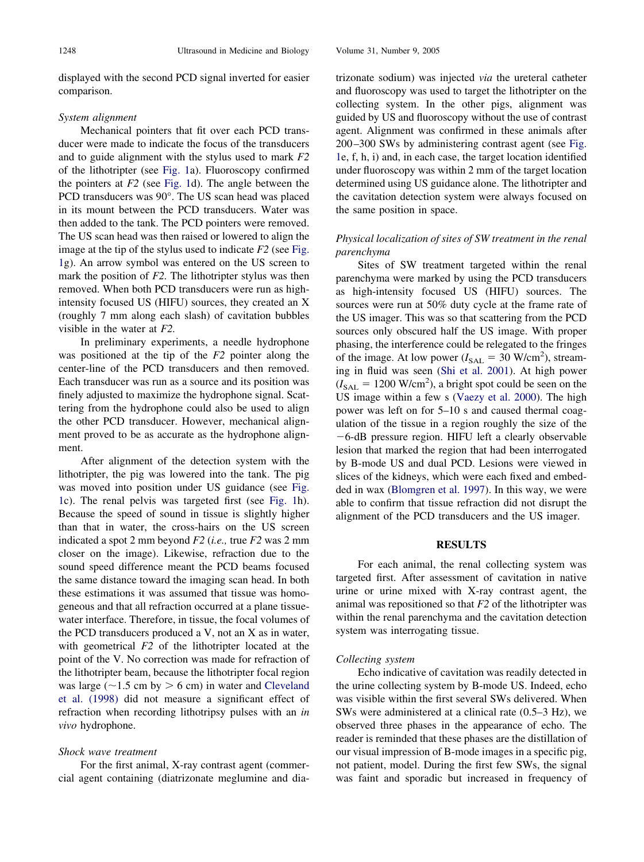displayed with the second PCD signal inverted for easier comparison.

### *System alignment*

Mechanical pointers that fit over each PCD transducer were made to indicate the focus of the transducers and to guide alignment with the stylus used to mark *F2* of the lithotripter (see [Fig. 1a](#page-1-0)). Fluoroscopy confirmed the pointers at *F2* (see [Fig. 1d](#page-1-0)). The angle between the PCD transducers was 90°. The US scan head was placed in its mount between the PCD transducers. Water was then added to the tank. The PCD pointers were removed. The US scan head was then raised or lowered to align the image at the tip of the stylus used to indicate *F2* (see [Fig.](#page-1-0) [1g](#page-1-0)). An arrow symbol was entered on the US screen to mark the position of *F2.* The lithotripter stylus was then removed. When both PCD transducers were run as highintensity focused US (HIFU) sources, they created an X (roughly 7 mm along each slash) of cavitation bubbles visible in the water at *F2.*

In preliminary experiments, a needle hydrophone was positioned at the tip of the *F2* pointer along the center-line of the PCD transducers and then removed. Each transducer was run as a source and its position was finely adjusted to maximize the hydrophone signal. Scattering from the hydrophone could also be used to align the other PCD transducer. However, mechanical alignment proved to be as accurate as the hydrophone alignment.

After alignment of the detection system with the lithotripter, the pig was lowered into the tank. The pig was moved into position under US guidance (see [Fig.](#page-1-0) [1c](#page-1-0)). The renal pelvis was targeted first (see [Fig. 1h](#page-1-0)). Because the speed of sound in tissue is slightly higher than that in water, the cross-hairs on the US screen indicated a spot 2 mm beyond *F2* (*i.e.,* true *F2* was 2 mm closer on the image). Likewise, refraction due to the sound speed difference meant the PCD beams focused the same distance toward the imaging scan head. In both these estimations it was assumed that tissue was homogeneous and that all refraction occurred at a plane tissuewater interface. Therefore, in tissue, the focal volumes of the PCD transducers produced a V, not an X as in water, with geometrical *F2* of the lithotripter located at the point of the V. No correction was made for refraction of the lithotripter beam, because the lithotripter focal region was large ( $\sim$ 1.5 cm by  $>$  6 cm) in water and [Cleveland](#page-11-0) [et al. \(1998\)](#page-11-0) did not measure a significant effect of refraction when recording lithotripsy pulses with an *in vivo* hydrophone.

#### *Shock wave treatment*

For the first animal, X-ray contrast agent (commercial agent containing (diatrizonate meglumine and diatrizonate sodium) was injected *via* the ureteral catheter and fluoroscopy was used to target the lithotripter on the collecting system. In the other pigs, alignment was guided by US and fluoroscopy without the use of contrast agent. Alignment was confirmed in these animals after 200–300 SWs by administering contrast agent (see [Fig.](#page-1-0) [1e](#page-1-0), f, h, i) and, in each case, the target location identified under fluoroscopy was within 2 mm of the target location determined using US guidance alone. The lithotripter and the cavitation detection system were always focused on the same position in space.

## *Physical localization of sites of SW treatment in the renal parenchyma*

Sites of SW treatment targeted within the renal parenchyma were marked by using the PCD transducers as high-intensity focused US (HIFU) sources. The sources were run at 50% duty cycle at the frame rate of the US imager. This was so that scattering from the PCD sources only obscured half the US image. With proper phasing, the interference could be relegated to the fringes of the image. At low power  $(I_{\text{SAL}} = 30 \text{ W/cm}^2)$ , streaming in fluid was seen [\(Shi et al. 2001\)](#page-11-0). At high power  $(I<sub>SAL</sub> = 1200$  W/cm<sup>2</sup>), a bright spot could be seen on the US image within a few s [\(Vaezy et al. 2000\)](#page-11-0). The high power was left on for 5–10 s and caused thermal coagulation of the tissue in a region roughly the size of the -6-dB pressure region. HIFU left a clearly observable lesion that marked the region that had been interrogated by B-mode US and dual PCD. Lesions were viewed in slices of the kidneys, which were each fixed and embedded in wax [\(Blomgren et al. 1997\)](#page-10-0). In this way, we were able to confirm that tissue refraction did not disrupt the alignment of the PCD transducers and the US imager.

## **RESULTS**

For each animal, the renal collecting system was targeted first. After assessment of cavitation in native urine or urine mixed with X-ray contrast agent, the animal was repositioned so that *F2* of the lithotripter was within the renal parenchyma and the cavitation detection system was interrogating tissue.

#### *Collecting system*

Echo indicative of cavitation was readily detected in the urine collecting system by B-mode US. Indeed, echo was visible within the first several SWs delivered. When SWs were administered at a clinical rate (0.5–3 Hz), we observed three phases in the appearance of echo. The reader is reminded that these phases are the distillation of our visual impression of B-mode images in a specific pig, not patient, model. During the first few SWs, the signal was faint and sporadic but increased in frequency of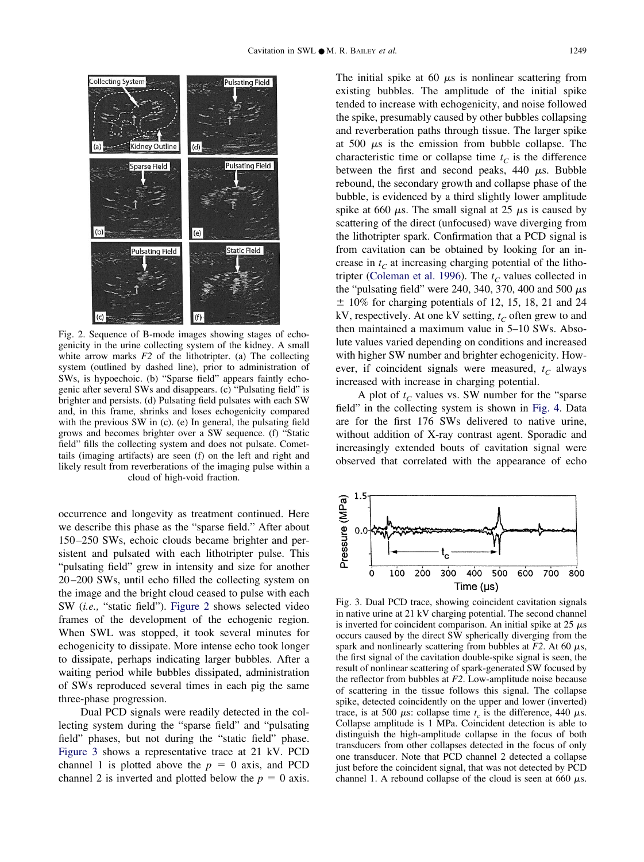

Fig. 2. Sequence of B-mode images showing stages of echogenicity in the urine collecting system of the kidney. A small white arrow marks  $F2$  of the lithotripter. (a) The collecting system (outlined by dashed line), prior to administration of SWs, is hypoechoic. (b) "Sparse field" appears faintly echogenic after several SWs and disappears. (c) "Pulsating field" is brighter and persists. (d) Pulsating field pulsates with each SW and, in this frame, shrinks and loses echogenicity compared with the previous SW in (c). (e) In general, the pulsating field grows and becomes brighter over a SW sequence. (f) "Static field" fills the collecting system and does not pulsate. Comettails (imaging artifacts) are seen (f) on the left and right and likely result from reverberations of the imaging pulse within a cloud of high-void fraction.

occurrence and longevity as treatment continued. Here we describe this phase as the "sparse field." After about 150–250 SWs, echoic clouds became brighter and persistent and pulsated with each lithotripter pulse. This "pulsating field" grew in intensity and size for another 20–200 SWs, until echo filled the collecting system on the image and the bright cloud ceased to pulse with each SW (*i.e.,* "static field"). Figure 2 shows selected video frames of the development of the echogenic region. When SWL was stopped, it took several minutes for echogenicity to dissipate. More intense echo took longer to dissipate, perhaps indicating larger bubbles. After a waiting period while bubbles dissipated, administration of SWs reproduced several times in each pig the same three-phase progression.

Dual PCD signals were readily detected in the collecting system during the "sparse field" and "pulsating field" phases, but not during the "static field" phase. Figure 3 shows a representative trace at 21 kV. PCD channel 1 is plotted above the  $p = 0$  axis, and PCD channel 2 is inverted and plotted below the  $p = 0$  axis.

The initial spike at 60  $\mu$ s is nonlinear scattering from existing bubbles. The amplitude of the initial spike tended to increase with echogenicity, and noise followed the spike, presumably caused by other bubbles collapsing and reverberation paths through tissue. The larger spike at 500  $\mu$ s is the emission from bubble collapse. The characteristic time or collapse time  $t_C$  is the difference between the first and second peaks,  $440 \mu s$ . Bubble rebound, the secondary growth and collapse phase of the bubble, is evidenced by a third slightly lower amplitude spike at 660  $\mu$ s. The small signal at 25  $\mu$ s is caused by scattering of the direct (unfocused) wave diverging from the lithotripter spark. Confirmation that a PCD signal is from cavitation can be obtained by looking for an increase in  $t_c$  at increasing charging potential of the litho-tripter [\(Coleman et al. 1996\)](#page-11-0). The  $t_C$  values collected in the "pulsating field" were 240, 340, 370, 400 and 500  $\mu$ s  $\pm$  10% for charging potentials of 12, 15, 18, 21 and 24 kV, respectively. At one kV setting,  $t_C$  often grew to and then maintained a maximum value in 5–10 SWs. Absolute values varied depending on conditions and increased with higher SW number and brighter echogenicity. However, if coincident signals were measured,  $t_C$  always increased with increase in charging potential.

A plot of  $t_C$  values vs. SW number for the "sparse" field" in the collecting system is shown in [Fig. 4.](#page-5-0) Data are for the first 176 SWs delivered to native urine, without addition of X-ray contrast agent. Sporadic and increasingly extended bouts of cavitation signal were observed that correlated with the appearance of echo



Fig. 3. Dual PCD trace, showing coincident cavitation signals in native urine at 21 kV charging potential. The second channel is inverted for coincident comparison. An initial spike at  $25 \mu s$ occurs caused by the direct SW spherically diverging from the spark and nonlinearly scattering from bubbles at  $F2$ . At 60  $\mu$ s, the first signal of the cavitation double-spike signal is seen, the result of nonlinear scattering of spark-generated SW focused by the reflector from bubbles at *F2*. Low-amplitude noise because of scattering in the tissue follows this signal. The collapse spike, detected coincidently on the upper and lower (inverted) trace, is at 500  $\mu$ s: collapse time  $t_c$  is the difference, 440  $\mu$ s. Collapse amplitude is 1 MPa. Coincident detection is able to distinguish the high-amplitude collapse in the focus of both transducers from other collapses detected in the focus of only one transducer. Note that PCD channel 2 detected a collapse just before the coincident signal, that was not detected by PCD channel 1. A rebound collapse of the cloud is seen at 660  $\mu$ s.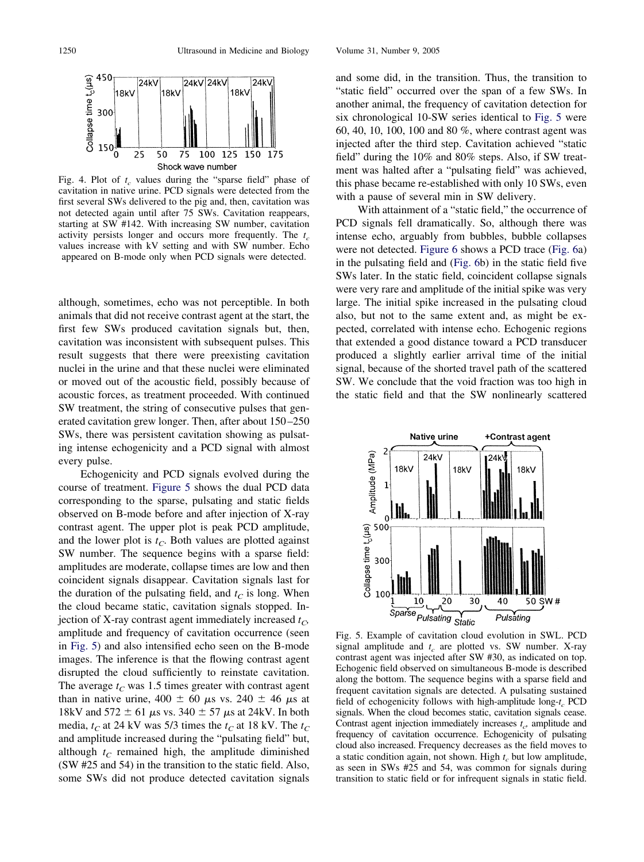<span id="page-5-0"></span>

Fig. 4. Plot of  $t_c$  values during the "sparse field" phase of cavitation in native urine. PCD signals were detected from the first several SWs delivered to the pig and, then, cavitation was not detected again until after 75 SWs. Cavitation reappears, starting at SW #142. With increasing SW number, cavitation activity persists longer and occurs more frequently. The  $t_c$ values increase with kV setting and with SW number. Echo appeared on B-mode only when PCD signals were detected.

although, sometimes, echo was not perceptible. In both animals that did not receive contrast agent at the start, the first few SWs produced cavitation signals but, then, cavitation was inconsistent with subsequent pulses. This result suggests that there were preexisting cavitation nuclei in the urine and that these nuclei were eliminated or moved out of the acoustic field, possibly because of acoustic forces, as treatment proceeded. With continued SW treatment, the string of consecutive pulses that generated cavitation grew longer. Then, after about 150–250 SWs, there was persistent cavitation showing as pulsating intense echogenicity and a PCD signal with almost every pulse.

Echogenicity and PCD signals evolved during the course of treatment. Figure 5 shows the dual PCD data corresponding to the sparse, pulsating and static fields observed on B-mode before and after injection of X-ray contrast agent. The upper plot is peak PCD amplitude, and the lower plot is  $t_C$ . Both values are plotted against SW number. The sequence begins with a sparse field: amplitudes are moderate, collapse times are low and then coincident signals disappear. Cavitation signals last for the duration of the pulsating field, and  $t_c$  is long. When the cloud became static, cavitation signals stopped. Injection of X-ray contrast agent immediately increased  $t_C$ , amplitude and frequency of cavitation occurrence (seen in Fig. 5) and also intensified echo seen on the B-mode images. The inference is that the flowing contrast agent disrupted the cloud sufficiently to reinstate cavitation. The average  $t_C$  was 1.5 times greater with contrast agent than in native urine,  $400 \pm 60 \mu s$  vs. 240  $\pm$  46  $\mu s$  at 18kV and  $572 \pm 61 \,\mu s$  vs. 340  $\pm 57 \,\mu s$  at 24kV. In both media,  $t_c$  at 24 kV was 5/3 times the  $t_c$  at 18 kV. The  $t_c$ and amplitude increased during the "pulsating field" but, although  $t_C$  remained high, the amplitude diminished (SW #25 and 54) in the transition to the static field. Also, some SWs did not produce detected cavitation signals and some did, in the transition. Thus, the transition to "static field" occurred over the span of a few SWs. In another animal, the frequency of cavitation detection for six chronological 10-SW series identical to Fig. 5 were 60, 40, 10, 100, 100 and 80 %, where contrast agent was injected after the third step. Cavitation achieved "static field" during the 10% and 80% steps. Also, if SW treatment was halted after a "pulsating field" was achieved, this phase became re-established with only 10 SWs, even with a pause of several min in SW delivery.

With attainment of a "static field," the occurrence of PCD signals fell dramatically. So, although there was intense echo, arguably from bubbles, bubble collapses were not detected. [Figure 6](#page-6-0) shows a PCD trace [\(Fig. 6a](#page-6-0)) in the pulsating field and [\(Fig. 6b](#page-6-0)) in the static field five SWs later. In the static field, coincident collapse signals were very rare and amplitude of the initial spike was very large. The initial spike increased in the pulsating cloud also, but not to the same extent and, as might be expected, correlated with intense echo. Echogenic regions that extended a good distance toward a PCD transducer produced a slightly earlier arrival time of the initial signal, because of the shorted travel path of the scattered SW. We conclude that the void fraction was too high in the static field and that the SW nonlinearly scattered



Fig. 5. Example of cavitation cloud evolution in SWL. PCD signal amplitude and  $t_c$  are plotted vs. SW number. X-ray contrast agent was injected after SW #30, as indicated on top. Echogenic field observed on simultaneous B-mode is described along the bottom. The sequence begins with a sparse field and frequent cavitation signals are detected. A pulsating sustained field of echogenicity follows with high-amplitude long-t<sub>c</sub> PCD signals. When the cloud becomes static, cavitation signals cease. Contrast agent injection immediately increases  $t_c$ , amplitude and frequency of cavitation occurrence. Echogenicity of pulsating cloud also increased. Frequency decreases as the field moves to a static condition again, not shown. High  $t_c$  but low amplitude, as seen in SWs #25 and 54, was common for signals during transition to static field or for infrequent signals in static field.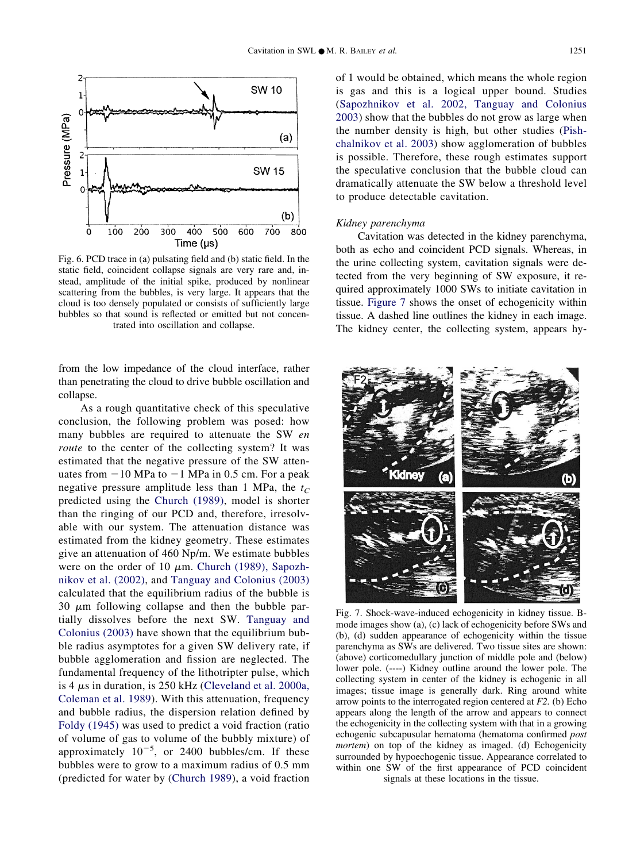<span id="page-6-0"></span>

Fig. 6. PCD trace in (a) pulsating field and (b) static field. In the static field, coincident collapse signals are very rare and, instead, amplitude of the initial spike, produced by nonlinear scattering from the bubbles, is very large. It appears that the cloud is too densely populated or consists of sufficiently large bubbles so that sound is reflected or emitted but not concentrated into oscillation and collapse.

from the low impedance of the cloud interface, rather than penetrating the cloud to drive bubble oscillation and collapse.

As a rough quantitative check of this speculative conclusion, the following problem was posed: how many bubbles are required to attenuate the SW *en route* to the center of the collecting system? It was estimated that the negative pressure of the SW attenuates from  $-10$  MPa to  $-1$  MPa in 0.5 cm. For a peak negative pressure amplitude less than 1 MPa, the  $t_C$ predicted using the [Church \(1989\),](#page-11-0) model is shorter than the ringing of our PCD and, therefore, irresolvable with our system. The attenuation distance was estimated from the kidney geometry. These estimates give an attenuation of 460 Np/m. We estimate bubbles were on the order of 10  $\mu$ m. [Church \(1989\), Sapozh](#page-11-0)[nikov et al. \(2002\),](#page-11-0) and [Tanguay and Colonius \(2003\)](#page-11-0) calculated that the equilibrium radius of the bubble is 30  $\mu$ m following collapse and then the bubble partially dissolves before the next SW. [Tanguay and](#page-11-0) [Colonius \(2003\)](#page-11-0) have shown that the equilibrium bubble radius asymptotes for a given SW delivery rate, if bubble agglomeration and fission are neglected. The fundamental frequency of the lithotripter pulse, which is 4  $\mu$ s in duration, is 250 kHz [\(Cleveland et al. 2000a,](#page-11-0) [Coleman et al. 1989\)](#page-11-0). With this attenuation, frequency and bubble radius, the dispersion relation defined by [Foldy \(1945\)](#page-11-0) was used to predict a void fraction (ratio of volume of gas to volume of the bubbly mixture) of approximately  $10^{-5}$ , or 2400 bubbles/cm. If these bubbles were to grow to a maximum radius of 0.5 mm (predicted for water by [\(Church 1989\)](#page-11-0), a void fraction of 1 would be obtained, which means the whole region is gas and this is a logical upper bound. Studies [\(Sapozhnikov et al. 2002, Tanguay and Colonius](#page-11-0) [2003\)](#page-11-0) show that the bubbles do not grow as large when the number density is high, but other studies [\(Pish](#page-11-0)[chalnikov et al. 2003\)](#page-11-0) show agglomeration of bubbles is possible. Therefore, these rough estimates support the speculative conclusion that the bubble cloud can dramatically attenuate the SW below a threshold level to produce detectable cavitation.

#### *Kidney parenchyma*

Cavitation was detected in the kidney parenchyma, both as echo and coincident PCD signals. Whereas, in the urine collecting system, cavitation signals were detected from the very beginning of SW exposure, it required approximately 1000 SWs to initiate cavitation in tissue. Figure 7 shows the onset of echogenicity within tissue. A dashed line outlines the kidney in each image. The kidney center, the collecting system, appears hy-



Fig. 7. Shock-wave-induced echogenicity in kidney tissue. Bmode images show (a), (c) lack of echogenicity before SWs and (b), (d) sudden appearance of echogenicity within the tissue parenchyma as SWs are delivered. Two tissue sites are shown: (above) corticomedullary junction of middle pole and (below) lower pole. (----) Kidney outline around the lower pole. The collecting system in center of the kidney is echogenic in all images; tissue image is generally dark. Ring around white arrow points to the interrogated region centered at *F2.* (b) Echo appears along the length of the arrow and appears to connect the echogenicity in the collecting system with that in a growing echogenic subcapusular hematoma (hematoma confirmed *post mortem*) on top of the kidney as imaged. (d) Echogenicity surrounded by hypoechogenic tissue. Appearance correlated to within one SW of the first appearance of PCD coincident signals at these locations in the tissue.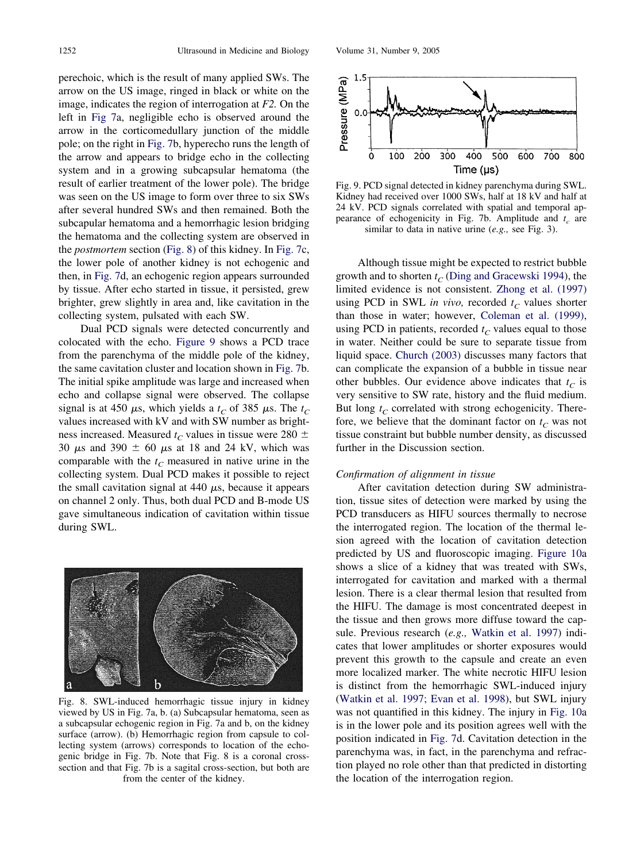perechoic, which is the result of many applied SWs. The arrow on the US image, ringed in black or white on the image, indicates the region of interrogation at *F2.* On the left in [Fig 7a](#page-6-0), negligible echo is observed around the arrow in the corticomedullary junction of the middle pole; on the right in [Fig. 7b](#page-6-0), hyperecho runs the length of the arrow and appears to bridge echo in the collecting system and in a growing subcapsular hematoma (the result of earlier treatment of the lower pole). The bridge was seen on the US image to form over three to six SWs after several hundred SWs and then remained. Both the subcapular hematoma and a hemorrhagic lesion bridging the hematoma and the collecting system are observed in the *postmortem* section (Fig. 8) of this kidney. In [Fig. 7c](#page-6-0), the lower pole of another kidney is not echogenic and then, in [Fig. 7d](#page-6-0), an echogenic region appears surrounded by tissue. After echo started in tissue, it persisted, grew brighter, grew slightly in area and, like cavitation in the collecting system, pulsated with each SW.

Dual PCD signals were detected concurrently and colocated with the echo. Figure 9 shows a PCD trace from the parenchyma of the middle pole of the kidney, the same cavitation cluster and location shown in [Fig. 7b](#page-6-0). The initial spike amplitude was large and increased when echo and collapse signal were observed. The collapse signal is at 450  $\mu$ s, which yields a  $t_C$  of 385  $\mu$ s. The  $t_C$ values increased with kV and with SW number as brightness increased. Measured  $t_C$  values in tissue were 280  $\pm$ 30  $\mu$ s and 390  $\pm$  60  $\mu$ s at 18 and 24 kV, which was comparable with the  $t_C$  measured in native urine in the collecting system. Dual PCD makes it possible to reject the small cavitation signal at 440  $\mu$ s, because it appears on channel 2 only. Thus, both dual PCD and B-mode US gave simultaneous indication of cavitation within tissue during SWL.



Fig. 8. SWL-induced hemorrhagic tissue injury in kidney viewed by US in Fig. 7a, b. (a) Subcapsular hematoma, seen as a subcapsular echogenic region in Fig. 7a and b, on the kidney surface (arrow). (b) Hemorrhagic region from capsule to collecting system (arrows) corresponds to location of the echogenic bridge in Fig. 7b. Note that Fig. 8 is a coronal crosssection and that Fig. 7b is a sagital cross-section, but both are from the center of the kidney.



Fig. 9. PCD signal detected in kidney parenchyma during SWL. Kidney had received over 1000 SWs, half at 18 kV and half at 24 kV. PCD signals correlated with spatial and temporal appearance of echogenicity in Fig. 7b. Amplitude and  $t_c$  are similar to data in native urine (*e.g.,* see Fig. 3).

Although tissue might be expected to restrict bubble growth and to shorten  $t_c$  [\(Ding and Gracewski 1994\)](#page-11-0), the limited evidence is not consistent. [Zhong et al. \(1997\)](#page-11-0) using PCD in SWL *in vivo*, recorded  $t_c$  values shorter than those in water; however, [Coleman et al. \(1999\),](#page-11-0) using PCD in patients, recorded  $t_C$  values equal to those in water. Neither could be sure to separate tissue from liquid space. [Church \(2003\)](#page-11-0) discusses many factors that can complicate the expansion of a bubble in tissue near other bubbles. Our evidence above indicates that  $t_C$  is very sensitive to SW rate, history and the fluid medium. But long  $t_C$  correlated with strong echogenicity. Therefore, we believe that the dominant factor on  $t_c$  was not tissue constraint but bubble number density, as discussed further in the Discussion section.

#### *Confirmation of alignment in tissue*

After cavitation detection during SW administration, tissue sites of detection were marked by using the PCD transducers as HIFU sources thermally to necrose the interrogated region. The location of the thermal lesion agreed with the location of cavitation detection predicted by US and fluoroscopic imaging. [Figure 10a](#page-8-0) shows a slice of a kidney that was treated with SWs, interrogated for cavitation and marked with a thermal lesion. There is a clear thermal lesion that resulted from the HIFU. The damage is most concentrated deepest in the tissue and then grows more diffuse toward the capsule. Previous research (*e.g.,* [Watkin et al. 1997\)](#page-11-0) indicates that lower amplitudes or shorter exposures would prevent this growth to the capsule and create an even more localized marker. The white necrotic HIFU lesion is distinct from the hemorrhagic SWL-induced injury [\(Watkin et al. 1997; Evan et al. 1998\)](#page-11-0), but SWL injury was not quantified in this kidney. The injury in [Fig. 10a](#page-8-0) is in the lower pole and its position agrees well with the position indicated in [Fig. 7d](#page-6-0). Cavitation detection in the parenchyma was, in fact, in the parenchyma and refraction played no role other than that predicted in distorting the location of the interrogation region.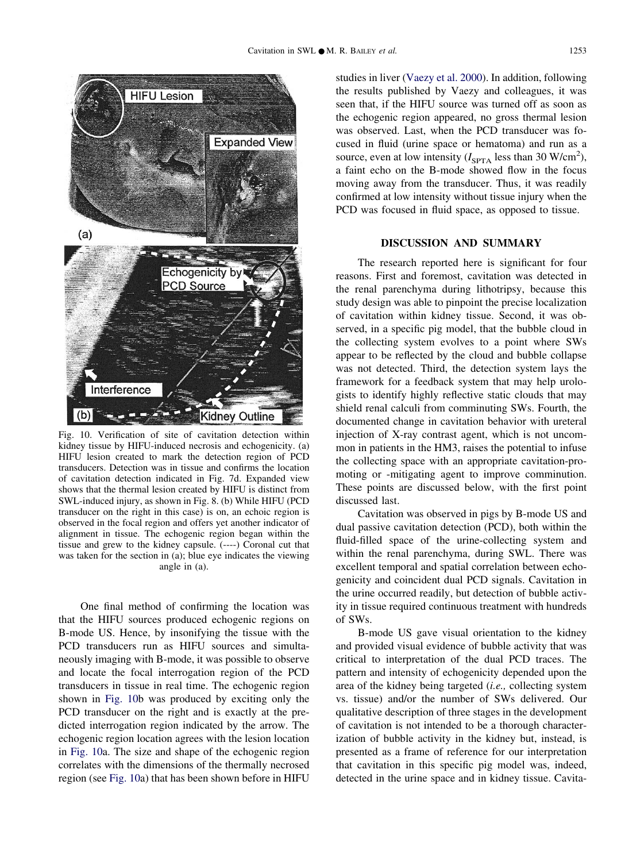<span id="page-8-0"></span>

Fig. 10. Verification of site of cavitation detection within kidney tissue by HIFU-induced necrosis and echogenicity. (a) HIFU lesion created to mark the detection region of PCD transducers. Detection was in tissue and confirms the location of cavitation detection indicated in Fig. 7d. Expanded view shows that the thermal lesion created by HIFU is distinct from SWL-induced injury, as shown in Fig. 8. (b) While HIFU (PCD transducer on the right in this case) is on, an echoic region is observed in the focal region and offers yet another indicator of alignment in tissue. The echogenic region began within the tissue and grew to the kidney capsule. (----) Coronal cut that was taken for the section in (a); blue eye indicates the viewing angle in (a).

One final method of confirming the location was that the HIFU sources produced echogenic regions on B-mode US. Hence, by insonifying the tissue with the PCD transducers run as HIFU sources and simultaneously imaging with B-mode, it was possible to observe and locate the focal interrogation region of the PCD transducers in tissue in real time. The echogenic region shown in Fig. 10b was produced by exciting only the PCD transducer on the right and is exactly at the predicted interrogation region indicated by the arrow. The echogenic region location agrees with the lesion location in Fig. 10a. The size and shape of the echogenic region correlates with the dimensions of the thermally necrosed region (see Fig. 10a) that has been shown before in HIFU

studies in liver [\(Vaezy et al. 2000\)](#page-11-0). In addition, following the results published by Vaezy and colleagues, it was seen that, if the HIFU source was turned off as soon as the echogenic region appeared, no gross thermal lesion was observed. Last, when the PCD transducer was focused in fluid (urine space or hematoma) and run as a source, even at low intensity  $(I_{\text{SPTA}} \text{ less than } 30 \text{ W/cm}^2)$ , a faint echo on the B-mode showed flow in the focus moving away from the transducer. Thus, it was readily confirmed at low intensity without tissue injury when the PCD was focused in fluid space, as opposed to tissue.

### **DISCUSSION AND SUMMARY**

The research reported here is significant for four reasons. First and foremost, cavitation was detected in the renal parenchyma during lithotripsy, because this study design was able to pinpoint the precise localization of cavitation within kidney tissue. Second, it was observed, in a specific pig model, that the bubble cloud in the collecting system evolves to a point where SWs appear to be reflected by the cloud and bubble collapse was not detected. Third, the detection system lays the framework for a feedback system that may help urologists to identify highly reflective static clouds that may shield renal calculi from comminuting SWs. Fourth, the documented change in cavitation behavior with ureteral injection of X-ray contrast agent, which is not uncommon in patients in the HM3, raises the potential to infuse the collecting space with an appropriate cavitation-promoting or -mitigating agent to improve comminution. These points are discussed below, with the first point discussed last.

Cavitation was observed in pigs by B-mode US and dual passive cavitation detection (PCD), both within the fluid-filled space of the urine-collecting system and within the renal parenchyma, during SWL. There was excellent temporal and spatial correlation between echogenicity and coincident dual PCD signals. Cavitation in the urine occurred readily, but detection of bubble activity in tissue required continuous treatment with hundreds of SWs.

B-mode US gave visual orientation to the kidney and provided visual evidence of bubble activity that was critical to interpretation of the dual PCD traces. The pattern and intensity of echogenicity depended upon the area of the kidney being targeted (*i.e.,* collecting system vs. tissue) and/or the number of SWs delivered. Our qualitative description of three stages in the development of cavitation is not intended to be a thorough characterization of bubble activity in the kidney but, instead, is presented as a frame of reference for our interpretation that cavitation in this specific pig model was, indeed, detected in the urine space and in kidney tissue. Cavita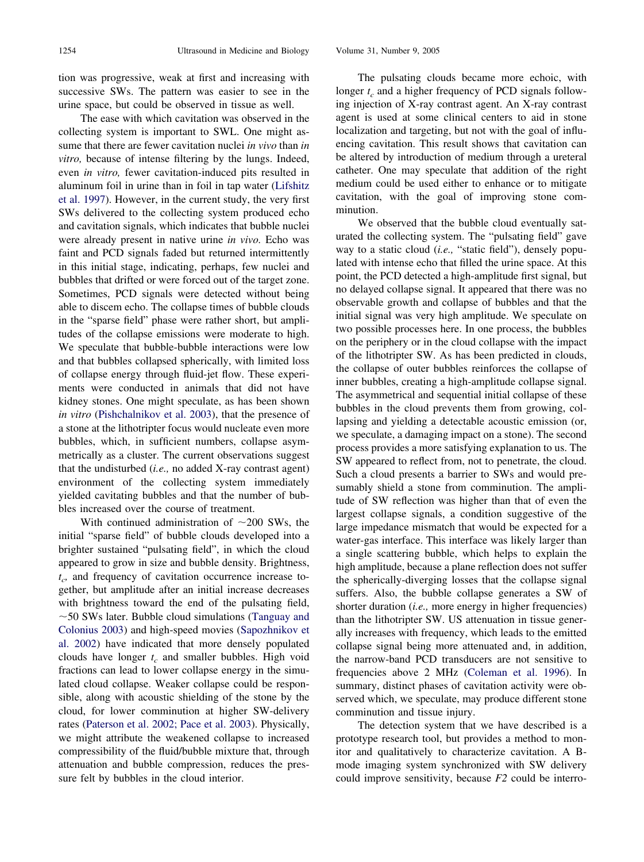tion was progressive, weak at first and increasing with successive SWs. The pattern was easier to see in the urine space, but could be observed in tissue as well.

The ease with which cavitation was observed in the collecting system is important to SWL. One might assume that there are fewer cavitation nuclei *in vivo* than *in vitro,* because of intense filtering by the lungs. Indeed, even *in vitro,* fewer cavitation-induced pits resulted in aluminum foil in urine than in foil in tap water [\(Lifshitz](#page-11-0) [et al. 1997\)](#page-11-0). However, in the current study, the very first SWs delivered to the collecting system produced echo and cavitation signals, which indicates that bubble nuclei were already present in native urine *in vivo.* Echo was faint and PCD signals faded but returned intermittently in this initial stage, indicating, perhaps, few nuclei and bubbles that drifted or were forced out of the target zone. Sometimes, PCD signals were detected without being able to discem echo. The collapse times of bubble clouds in the "sparse field" phase were rather short, but amplitudes of the collapse emissions were moderate to high. We speculate that bubble-bubble interactions were low and that bubbles collapsed spherically, with limited loss of collapse energy through fluid-jet flow. These experiments were conducted in animals that did not have kidney stones. One might speculate, as has been shown *in vitro* [\(Pishchalnikov et al. 2003\)](#page-11-0), that the presence of a stone at the lithotripter focus would nucleate even more bubbles, which, in sufficient numbers, collapse asymmetrically as a cluster. The current observations suggest that the undisturbed (*i.e.,* no added X-ray contrast agent) environment of the collecting system immediately yielded cavitating bubbles and that the number of bubbles increased over the course of treatment.

With continued administration of  $\sim$ 200 SWs, the initial "sparse field" of bubble clouds developed into a brighter sustained "pulsating field", in which the cloud appeared to grow in size and bubble density. Brightness,  $t_c$ , and frequency of cavitation occurrence increase together, but amplitude after an initial increase decreases with brightness toward the end of the pulsating field,  $\sim$  50 SWs later. Bubble cloud simulations [\(Tanguay and](#page-11-0) [Colonius 2003\)](#page-11-0) and high-speed movies [\(Sapozhnikov et](#page-11-0) [al. 2002\)](#page-11-0) have indicated that more densely populated clouds have longer  $t_c$  and smaller bubbles. High void fractions can lead to lower collapse energy in the simulated cloud collapse. Weaker collapse could be responsible, along with acoustic shielding of the stone by the cloud, for lower comminution at higher SW-delivery rates [\(Paterson et al. 2002; Pace et al. 2003\)](#page-11-0). Physically, we might attribute the weakened collapse to increased compressibility of the fluid/bubble mixture that, through attenuation and bubble compression, reduces the pressure felt by bubbles in the cloud interior.

The pulsating clouds became more echoic, with longer  $t_c$  and a higher frequency of PCD signals following injection of X-ray contrast agent. An X-ray contrast agent is used at some clinical centers to aid in stone localization and targeting, but not with the goal of influencing cavitation. This result shows that cavitation can be altered by introduction of medium through a ureteral catheter. One may speculate that addition of the right medium could be used either to enhance or to mitigate cavitation, with the goal of improving stone comminution.

We observed that the bubble cloud eventually saturated the collecting system. The "pulsating field" gave way to a static cloud (*i.e.,* "static field"), densely populated with intense echo that filled the urine space. At this point, the PCD detected a high-amplitude first signal, but no delayed collapse signal. It appeared that there was no observable growth and collapse of bubbles and that the initial signal was very high amplitude. We speculate on two possible processes here. In one process, the bubbles on the periphery or in the cloud collapse with the impact of the lithotripter SW. As has been predicted in clouds, the collapse of outer bubbles reinforces the collapse of inner bubbles, creating a high-amplitude collapse signal. The asymmetrical and sequential initial collapse of these bubbles in the cloud prevents them from growing, collapsing and yielding a detectable acoustic emission (or, we speculate, a damaging impact on a stone). The second process provides a more satisfying explanation to us. The SW appeared to reflect from, not to penetrate, the cloud. Such a cloud presents a barrier to SWs and would presumably shield a stone from comminution. The amplitude of SW reflection was higher than that of even the largest collapse signals, a condition suggestive of the large impedance mismatch that would be expected for a water-gas interface. This interface was likely larger than a single scattering bubble, which helps to explain the high amplitude, because a plane reflection does not suffer the spherically-diverging losses that the collapse signal suffers. Also, the bubble collapse generates a SW of shorter duration (*i.e.,* more energy in higher frequencies) than the lithotripter SW. US attenuation in tissue generally increases with frequency, which leads to the emitted collapse signal being more attenuated and, in addition, the narrow-band PCD transducers are not sensitive to frequencies above 2 MHz [\(Coleman et al. 1996\)](#page-11-0). In summary, distinct phases of cavitation activity were observed which, we speculate, may produce different stone comminution and tissue injury.

The detection system that we have described is a prototype research tool, but provides a method to monitor and qualitatively to characterize cavitation. A Bmode imaging system synchronized with SW delivery could improve sensitivity, because *F2* could be interro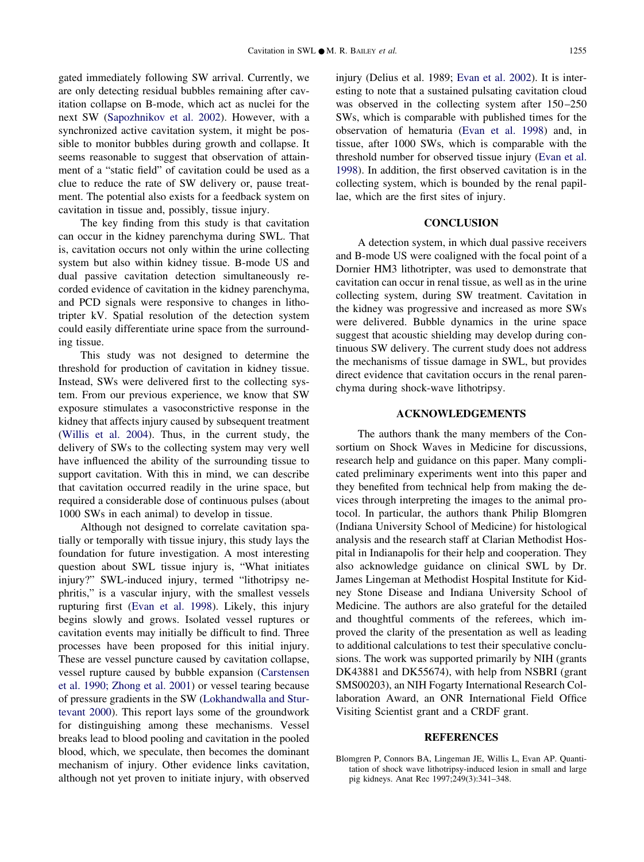<span id="page-10-0"></span>gated immediately following SW arrival. Currently, we are only detecting residual bubbles remaining after cavitation collapse on B-mode, which act as nuclei for the next SW [\(Sapozhnikov et al. 2002\)](#page-11-0). However, with a synchronized active cavitation system, it might be possible to monitor bubbles during growth and collapse. It seems reasonable to suggest that observation of attainment of a "static field" of cavitation could be used as a clue to reduce the rate of SW delivery or, pause treatment. The potential also exists for a feedback system on cavitation in tissue and, possibly, tissue injury.

The key finding from this study is that cavitation can occur in the kidney parenchyma during SWL. That is, cavitation occurs not only within the urine collecting system but also within kidney tissue. B-mode US and dual passive cavitation detection simultaneously recorded evidence of cavitation in the kidney parenchyma, and PCD signals were responsive to changes in lithotripter kV. Spatial resolution of the detection system could easily differentiate urine space from the surrounding tissue.

This study was not designed to determine the threshold for production of cavitation in kidney tissue. Instead, SWs were delivered first to the collecting system. From our previous experience, we know that SW exposure stimulates a vasoconstrictive response in the kidney that affects injury caused by subsequent treatment [\(Willis et al. 2004\)](#page-11-0). Thus, in the current study, the delivery of SWs to the collecting system may very well have influenced the ability of the surrounding tissue to support cavitation. With this in mind, we can describe that cavitation occurred readily in the urine space, but required a considerable dose of continuous pulses (about 1000 SWs in each animal) to develop in tissue.

Although not designed to correlate cavitation spatially or temporally with tissue injury, this study lays the foundation for future investigation. A most interesting question about SWL tissue injury is, "What initiates injury?" SWL-induced injury, termed "lithotripsy nephritis," is a vascular injury, with the smallest vessels rupturing first [\(Evan et al. 1998\)](#page-11-0). Likely, this injury begins slowly and grows. Isolated vessel ruptures or cavitation events may initially be difficult to find. Three processes have been proposed for this initial injury. These are vessel puncture caused by cavitation collapse, vessel rupture caused by bubble expansion [\(Carstensen](#page-11-0) [et al. 1990; Zhong et al. 2001\)](#page-11-0) or vessel tearing because of pressure gradients in the SW [\(Lokhandwalla and Stur](#page-11-0)[tevant 2000\)](#page-11-0). This report lays some of the groundwork for distinguishing among these mechanisms. Vessel breaks lead to blood pooling and cavitation in the pooled blood, which, we speculate, then becomes the dominant mechanism of injury. Other evidence links cavitation, although not yet proven to initiate injury, with observed injury (Delius et al. 1989; [Evan et al. 2002\)](#page-11-0). It is interesting to note that a sustained pulsating cavitation cloud was observed in the collecting system after 150–250 SWs, which is comparable with published times for the observation of hematuria [\(Evan et al. 1998\)](#page-11-0) and, in tissue, after 1000 SWs, which is comparable with the threshold number for observed tissue injury [\(Evan et al.](#page-11-0) [1998\)](#page-11-0). In addition, the first observed cavitation is in the collecting system, which is bounded by the renal papillae, which are the first sites of injury.

## **CONCLUSION**

A detection system, in which dual passive receivers and B-mode US were coaligned with the focal point of a Dornier HM3 lithotripter, was used to demonstrate that cavitation can occur in renal tissue, as well as in the urine collecting system, during SW treatment. Cavitation in the kidney was progressive and increased as more SWs were delivered. Bubble dynamics in the urine space suggest that acoustic shielding may develop during continuous SW delivery. The current study does not address the mechanisms of tissue damage in SWL, but provides direct evidence that cavitation occurs in the renal parenchyma during shock-wave lithotripsy.

## **ACKNOWLEDGEMENTS**

The authors thank the many members of the Consortium on Shock Waves in Medicine for discussions, research help and guidance on this paper. Many complicated preliminary experiments went into this paper and they benefited from technical help from making the devices through interpreting the images to the animal protocol. In particular, the authors thank Philip Blomgren (Indiana University School of Medicine) for histological analysis and the research staff at Clarian Methodist Hospital in Indianapolis for their help and cooperation. They also acknowledge guidance on clinical SWL by Dr. James Lingeman at Methodist Hospital Institute for Kidney Stone Disease and Indiana University School of Medicine. The authors are also grateful for the detailed and thoughtful comments of the referees, which improved the clarity of the presentation as well as leading to additional calculations to test their speculative conclusions. The work was supported primarily by NIH (grants DK43881 and DK55674), with help from NSBRI (grant SMS00203), an NIH Fogarty International Research Collaboration Award, an ONR International Field Office Visiting Scientist grant and a CRDF grant.

#### **REFERENCES**

Blomgren P, Connors BA, Lingeman JE, Willis L, Evan AP. Quantitation of shock wave lithotripsy-induced lesion in small and large pig kidneys. Anat Rec 1997;249(3):341–348.